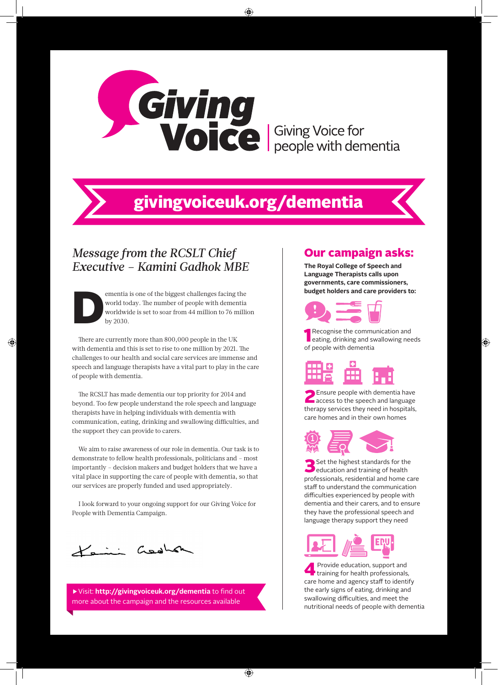

# givingvoiceuk.org/dementia

## *Message from the RCSLT Chief Executive – Kamini Gadhok MBE*

ementia is one of the biggest challenges facing the world today. The number of people with dementia worldwide is set to soar from 44 million to 76 million by 2030.

There are currently more than 800,000 people in the UK with dementia and this is set to rise to one million by 2021. The challenges to our health and social care services are immense and speech and language therapists have a vital part to play in the care of people with dementia.

The RCSLT has made dementia our top priority for 2014 and beyond. Too few people understand the role speech and language therapists have in helping individuals with dementia with communication, eating, drinking and swallowing difficulties, and the support they can provide to carers.

We aim to raise awareness of our role in dementia. Our task is to demonstrate to fellow health professionals, politicians and – most importantly – decision makers and budget holders that we have a vital place in supporting the care of people with dementia, so that our services are properly funded and used appropriately.

I look forward to your ongoing support for our Giving Voice for People with Dementia Campaign.

Keini Gedham

▶Visit: **http://givingvoiceuk.org/dementia** to find out more about the campaign and the resources available

#### Our campaign asks:

**The Royal College of Speech and Language Therapists calls upon governments, care commissioners, budget holders and care providers to:**



**1** Recognise the communication and eating, drinking and swallowing needs of people with dementia

**2** Ensure people with dementia have<br>access to the speech and language therapy services they need in hospitals, care homes and in their own homes



Set the highest standards for the education and training of health professionals, residential and home care staff to understand the communication difficulties experienced by people with dementia and their carers, and to ensure they have the professional speech and language therapy support they need



4 Provide education, support and training for health professionals, care home and agency staff to identify the early signs of eating, drinking and swallowing difficulties, and meet the nutritional needs of people with dementia